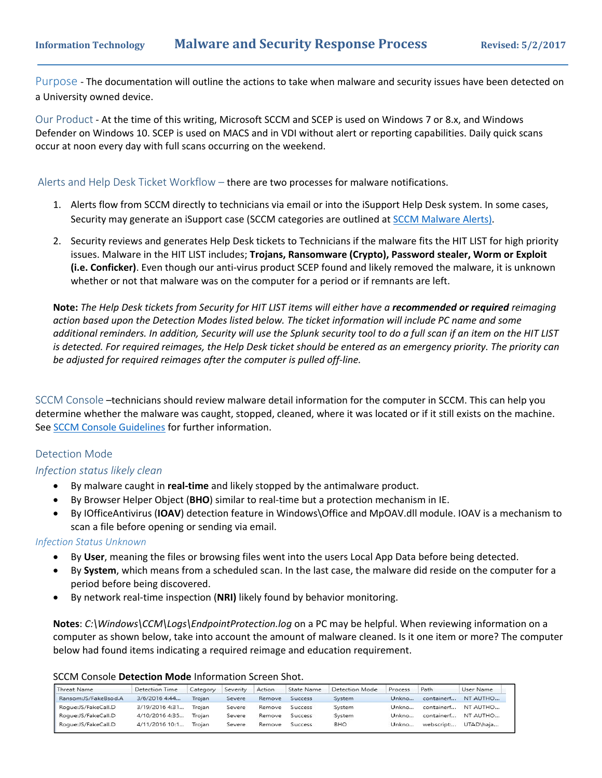Purpose ‐ The documentation will outline the actions to take when malware and security issues have been detected on a University owned device.

Our Product ‐ At the time of this writing, Microsoft SCCM and SCEP is used on Windows 7 or 8.x, and Windows Defender on Windows 10. SCEP is used on MACS and in VDI without alert or reporting capabilities. Daily quick scans occur at noon every day with full scans occurring on the weekend.

Alerts and Help Desk Ticket Workflow – there are two processes for malware notifications.

- 1. Alerts flow from SCCM directly to technicians via email or into the iSupport Help Desk system. In some cases, Security may generate an iSupport case (SCCM categories are outlined at SCCM Malware Alerts).
- 2. Security reviews and generates Help Desk tickets to Technicians if the malware fits the HIT LIST for high priority issues. Malware in the HIT LIST includes; **Trojans, Ransomware (Crypto), Password stealer, Worm or Exploit (i.e. Conficker)**. Even though our anti‐virus product SCEP found and likely removed the malware, it is unknown whether or not that malware was on the computer for a period or if remnants are left.

**Note:** *The Help Desk tickets from Security for HIT LIST items will either have a recommended or required reimaging action based upon the Detection Modes listed below. The ticket information will include PC name and some additional reminders. In addition, Security will use the Splunk security tool to do a full scan if an item on the HIT LIST is detected. For required reimages, the Help Desk ticket should be entered as an emergency priority. The priority can be adjusted for required reimages after the computer is pulled off‐line.* 

SCCM Console –technicians should review malware detail information for the computer in SCCM. This can help you determine whether the malware was caught, stopped, cleaned, where it was located or if it still exists on the machine. See SCCM Console Guidelines for further information.

## Detection Mode

## *Infection status likely clean*

- By malware caught in **real‐time** and likely stopped by the antimalware product.
- By Browser Helper Object (**BHO**) similar to real‐time but a protection mechanism in IE.
- By IOfficeAntivirus (**IOAV**) detection feature in Windows\Office and MpOAV.dll module. IOAV is a mechanism to scan a file before opening or sending via email.

#### *Infection Status Unknown*

- By **User**, meaning the files or browsing files went into the users Local App Data before being detected.
- By **System**, which means from a scheduled scan. In the last case, the malware did reside on the computer for a period before being discovered.
- By network real‐time inspection (**NRI)** likely found by behavior monitoring.

**Notes**: *C:\Windows\CCM\Logs\EndpointProtection.log* on a PC may be helpful. When reviewing information on a computer as shown below, take into account the amount of malware cleaned. Is it one item or more? The computer below had found items indicating a required reimage and education requirement.

| SCCM Console Detection Mode Information Screen Shot. |  |
|------------------------------------------------------|--|
|------------------------------------------------------|--|

| Threat Name          | <b>Detection Time</b> | Category | Severity | Action | State Name     | Detection Mode | Process | Path       | User Name |
|----------------------|-----------------------|----------|----------|--------|----------------|----------------|---------|------------|-----------|
| Ransom:JS/FakeBsod.A | 3/6/2016 4:44         | Troian   | Severe   | Remove | Success        | System         | Unkno   | containerf | NT AUTHO  |
| Roque:JS/FakeCall.D  | 3/19/2016 4:31        | Trojan   | Severe   | Remove | <b>Success</b> | System         | Unkno   | containerf | NT AUTHO  |
| Roque:JS/FakeCall.D  | 4/10/2016 4:35        | Troian   | Severe   | Remove | <b>Success</b> | System         | Unkno   | containerf | NT AUTHO  |
| Roque:JS/FakeCall.D  | 4/11/2016 10:1        | Troian   | Severe   | Remove | <b>Success</b> | <b>BHO</b>     | Unkno   | webscript: | UTAD\haja |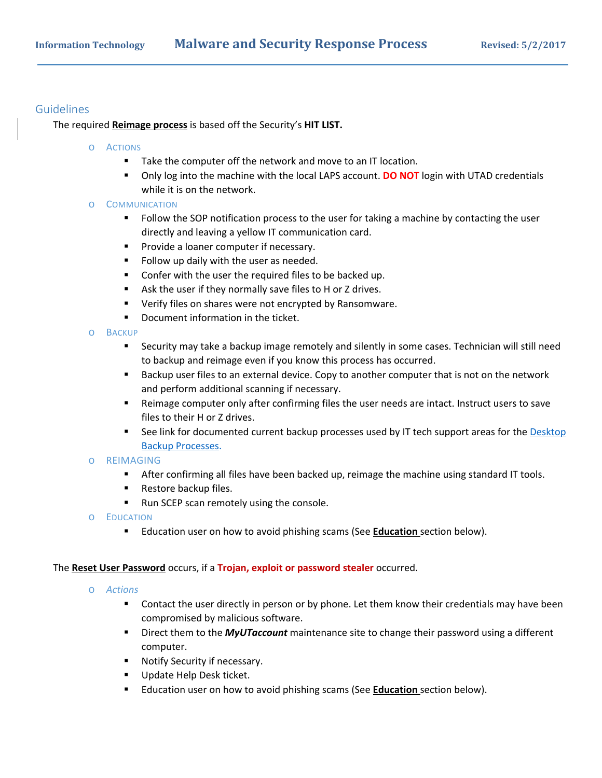# Guidelines

The required **Reimage process** is based off the Security's **HIT LIST.** 

- o ACTIONS
	- Take the computer off the network and move to an IT location.
	- Only log into the machine with the local LAPS account. **DO NOT** login with UTAD credentials while it is on the network.

## o COMMUNICATION

- Follow the SOP notification process to the user for taking a machine by contacting the user directly and leaving a yellow IT communication card.
- **Provide a loaner computer if necessary.**
- **Follow up daily with the user as needed.**
- **Confer with the user the required files to be backed up.**
- Ask the user if they normally save files to H or Z drives.
- **Verify files on shares were not encrypted by Ransomware.**
- **•** Document information in the ticket.
- o BACKUP
	- Security may take a backup image remotely and silently in some cases. Technician will still need to backup and reimage even if you know this process has occurred.
	- **Backup user files to an external device. Copy to another computer that is not on the network** and perform additional scanning if necessary.
	- Reimage computer only after confirming files the user needs are intact. Instruct users to save files to their H or Z drives.
	- See link for documented current backup processes used by IT tech support areas for the Desktop Backup Processes.

#### o REIMAGING

- **After confirming all files have been backed up, reimage the machine using standard IT tools.**
- **Restore backup files.**
- Run SCEP scan remotely using the console.
- o EDUCATION
	- Education user on how to avoid phishing scams (See **Education** section below).

#### The **Reset User Password** occurs, if a **Trojan, exploit or password stealer** occurred.

- o *Actions* 
	- **Contact the user directly in person or by phone. Let them know their credentials may have been** compromised by malicious software.
	- **F** Direct them to the **MyUTaccount** maintenance site to change their password using a different computer.
	- **Notify Security if necessary.**
	- **Update Help Desk ticket.**
	- Education user on how to avoid phishing scams (See **Education** section below).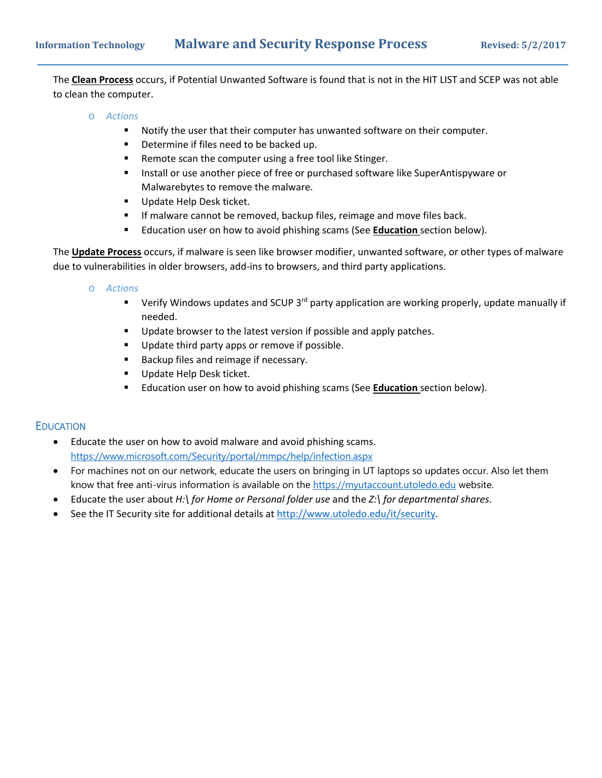The **Clean Process** occurs, if Potential Unwanted Software is found that is not in the HIT LIST and SCEP was not able to clean the computer.

- o *Actions* 
	- Notify the user that their computer has unwanted software on their computer.
	- **•** Determine if files need to be backed up.
	- Remote scan the computer using a free tool like Stinger.
	- **Install or use another piece of free or purchased software like SuperAntispyware or** Malwarebytes to remove the malware.
	- Update Help Desk ticket.
	- **If malware cannot be removed, backup files, reimage and move files back.**
	- Education user on how to avoid phishing scams (See **Education** section below).

The **Update Process** occurs, if malware is seen like browser modifier, unwanted software, or other types of malware due to vulnerabilities in older browsers, add-ins to browsers, and third party applications.

o *Actions* 

- Verify Windows updates and SCUP 3<sup>rd</sup> party application are working properly, update manually if needed.
- Update browser to the latest version if possible and apply patches.
- **Update third party apps or remove if possible.**
- Backup files and reimage if necessary.
- Update Help Desk ticket.
- Education user on how to avoid phishing scams (See **Education** section below).

#### **EDUCATION**

- Educate the user on how to avoid malware and avoid phishing scams. https://www.microsoft.com/Security/portal/mmpc/help/infection.aspx
- For machines not on our network, educate the users on bringing in UT laptops so updates occur. Also let them know that free anti-virus information is available on the https://myutaccount.utoledo.edu website.
- Educate the user about *H:\ for Home or Personal folder use* and the *Z:\ for departmental shares*.
- See the IT Security site for additional details at http://www.utoledo.edu/it/security.